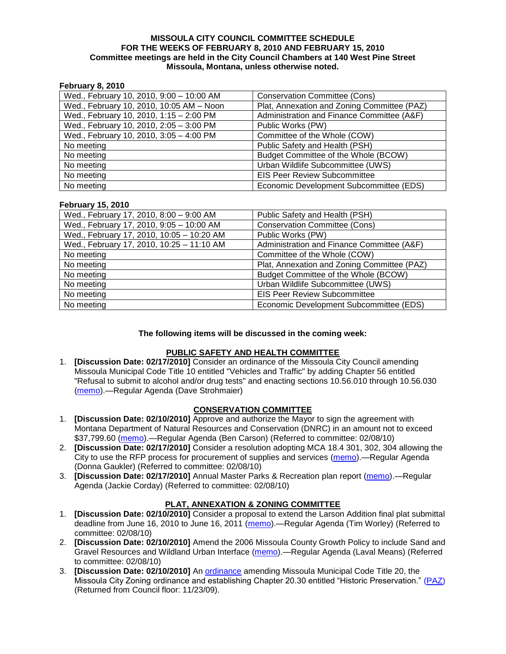#### **MISSOULA CITY COUNCIL COMMITTEE SCHEDULE FOR THE WEEKS OF FEBRUARY 8, 2010 AND FEBRUARY 15, 2010 Committee meetings are held in the City Council Chambers at 140 West Pine Street Missoula, Montana, unless otherwise noted.**

### **February 8, 2010**

| Wed., February 10, 2010, 9:00 - 10:00 AM | <b>Conservation Committee (Cons)</b>        |
|------------------------------------------|---------------------------------------------|
| Wed., February 10, 2010, 10:05 AM - Noon | Plat, Annexation and Zoning Committee (PAZ) |
| Wed., February 10, 2010, 1:15 - 2:00 PM  | Administration and Finance Committee (A&F)  |
| Wed., February 10, 2010, 2:05 - 3:00 PM  | Public Works (PW)                           |
| Wed., February 10, 2010, 3:05 - 4:00 PM  | Committee of the Whole (COW)                |
| No meeting                               | Public Safety and Health (PSH)              |
| No meeting                               | Budget Committee of the Whole (BCOW)        |
| No meeting                               | Urban Wildlife Subcommittee (UWS)           |
| No meeting                               | <b>EIS Peer Review Subcommittee</b>         |
| No meeting                               | Economic Development Subcommittee (EDS)     |

#### **February 15, 2010**

| Wed., February 17, 2010, 8:00 - 9:00 AM   | Public Safety and Health (PSH)              |
|-------------------------------------------|---------------------------------------------|
| Wed., February 17, 2010, 9:05 - 10:00 AM  | <b>Conservation Committee (Cons)</b>        |
| Wed., February 17, 2010, 10:05 - 10:20 AM | Public Works (PW)                           |
| Wed., February 17, 2010, 10:25 - 11:10 AM | Administration and Finance Committee (A&F)  |
| No meeting                                | Committee of the Whole (COW)                |
| No meeting                                | Plat, Annexation and Zoning Committee (PAZ) |
| No meeting                                | Budget Committee of the Whole (BCOW)        |
| No meeting                                | Urban Wildlife Subcommittee (UWS)           |
| No meeting                                | <b>EIS Peer Review Subcommittee</b>         |
| No meeting                                | Economic Development Subcommittee (EDS)     |

## **The following items will be discussed in the coming week:**

#### **PUBLIC SAFETY AND HEALTH COMMITTEE**

1. **[Discussion Date: 02/17/2010]** Consider an ordinance of the Missoula City Council amending Missoula Municipal Code Title 10 entitled "Vehicles and Traffic" by adding Chapter 56 entitled "Refusal to submit to alcohol and/or drug tests" and enacting sections 10.56.010 through 10.56.030 [\(memo\)](http://www.ci.missoula.mt.us/DocumentView.aspx?DID=3131).—Regular Agenda (Dave Strohmaier)

## **CONSERVATION COMMITTEE**

- 1. **[Discussion Date: 02/10/2010]** Approve and authorize the Mayor to sign the agreement with Montana Department of Natural Resources and Conservation (DNRC) in an amount not to exceed \$37,799.60 [\(memo\)](http://www.ci.missoula.mt.us/DocumentView.aspx?DID=3117).—Regular Agenda (Ben Carson) (Referred to committee: 02/08/10)
- 2. **[Discussion Date: 02/17/2010]** Consider a resolution adopting MCA 18.4 301, 302, 304 allowing the City to use the RFP process for procurement of supplies and services [\(memo\)](http://www.ci.missoula.mt.us/DocumentView.aspx?DID=3119).—Regular Agenda (Donna Gaukler) (Referred to committee: 02/08/10)
- 3. **[Discussion Date: 02/17/2010]** Annual Master Parks & Recreation plan report [\(memo\)](http://www.ci.missoula.mt.us/DocumentView.aspx?DID=3118).—Regular Agenda (Jackie Corday) (Referred to committee: 02/08/10)

## **PLAT, ANNEXATION & ZONING COMMITTEE**

- 1. **[Discussion Date: 02/10/2010]** Consider a proposal to extend the Larson Addition final plat submittal deadline from June 16, 2010 to June 16, 2011 [\(memo\)](http://www.ci.missoula.mt.us/DocumentView.aspx?DID=3113).—Regular Agenda (Tim Worley) (Referred to committee: 02/08/10)
- 2. **[Discussion Date: 02/10/2010]** Amend the 2006 Missoula County Growth Policy to include Sand and Gravel Resources and Wildland Urban Interface [\(memo\)](http://www.ci.missoula.mt.us/DocumentView.aspx?DID=3120).—Regular Agenda (Laval Means) (Referred to committee: 02/08/10)
- 3. **[Discussion Date: 02/10/2010]** An [ordinance](http://www.ci.missoula.mt.us/DocumentView.aspx?DID=2669) amending Missoula Municipal Code Title 20, the Missoula City Zoning ordinance and establishing Chapter 20.30 entitled "Historic Preservation." (PAZ) (Returned from Council floor: 11/23/09).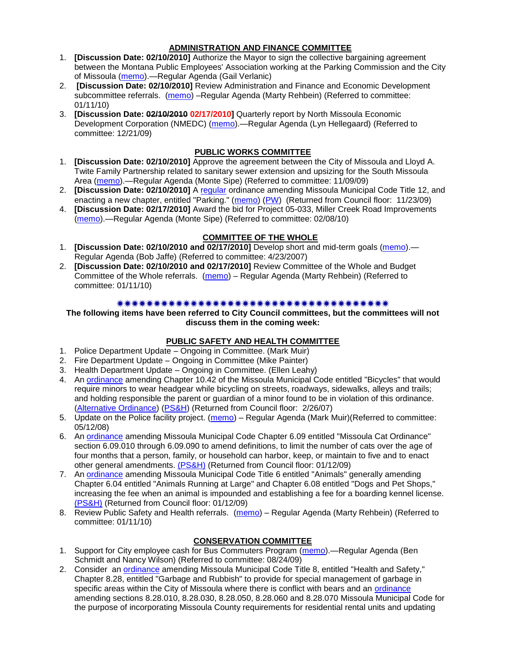## **ADMINISTRATION AND FINANCE COMMITTEE**

- 1. **[Discussion Date: 02/10/2010]** Authorize the Mayor to sign the collective bargaining agreement between the Montana Public Employees' Association working at the Parking Commission and the City of Missoula [\(memo\)](http://www.ci.missoula.mt.us/DocumentView.aspx?DID=3101).—Regular Agenda (Gail Verlanic)
- 2. **[Discussion Date: 02/10/2010]** Review Administration and Finance and Economic Development subcommittee referrals. [\(memo\)](http://www.ci.missoula.mt.us/DocumentView.aspx?DID=2933) -Regular Agenda (Marty Rehbein) (Referred to committee: 01/11/10)
- 3. **[Discussion Date: 02/10/2010 02/17/2010]** Quarterly report by North Missoula Economic Development Corporation (NMEDC) [\(memo\)](http://www.ci.missoula.mt.us/DocumentView.aspx?DID=2869).—Regular Agenda (Lyn Hellegaard) (Referred to committee: 12/21/09)

# **PUBLIC WORKS COMMITTEE**

- 1. **[Discussion Date: 02/10/2010]** Approve the agreement between the City of Missoula and Lloyd A. Twite Family Partnership related to sanitary sewer extension and upsizing for the South Missoula Area [\(memo\)](http://www.ci.missoula.mt.us/DocumentView.aspx?DID=2531).—Regular Agenda (Monte Sipe) (Referred to committee: 11/09/09)
- 2. **[Discussion Date: 02/10/2010]** A [regular](http://www.ci.missoula.mt.us/DocumentView.aspx?DID=2700) ordinance amending Missoula Municipal Code Title 12, and enacting a new chapter, entitled "Parking." [\(memo\)](http://www.ci.missoula.mt.us/DocumentView.aspx?DID=2366) [\(PW\)](http://www.ci.missoula.mt.us/Archive.aspx?ADID=1413) (Returned from Council floor: 11/23/09)
- 4. **[Discussion Date: 02/17/2010]** Award the bid for Project 05-033, Miller Creek Road Improvements [\(memo\)](http://www.ci.missoula.mt.us/DocumentView.aspx?DID=3121).—Regular Agenda (Monte Sipe) (Referred to committee: 02/08/10)

# **COMMITTEE OF THE WHOLE**

- 1. **[Discussion Date: 02/10/2010 and 02/17/2010]** Develop short and mid-term goals [\(memo\)](ftp://ftp.ci.missoula.mt.us/Packets/Council/2007/2007-04-23/Referrals/Council_Goals.pdf).— Regular Agenda (Bob Jaffe) (Referred to committee: 4/23/2007)
- 2. **[Discussion Date: 02/10/2010 and 02/17/2010]** Review Committee of the Whole and Budget Committee of the Whole referrals. [\(memo\)](http://www.ci.missoula.mt.us/DocumentView.aspx?DID=2933) – Regular Agenda (Marty Rehbein) (Referred to committee: 01/11/10)

## 

**The following items have been referred to City Council committees, but the committees will not discuss them in the coming week:**

# **PUBLIC SAFETY AND HEALTH COMMITTEE**

- 1. Police Department Update Ongoing in Committee. (Mark Muir)
- 2. Fire Department Update Ongoing in Committee (Mike Painter)
- 3. Health Department Update Ongoing in Committee. (Ellen Leahy)
- 4. An [ordinance](ftp://ftp.ci.missoula.mt.us/Packets/Council/2007/2007-02-05/07-01-31 Helmet and bikes psh.htm) amending Chapter 10.42 of the Missoula Municipal Code entitled "Bicycles" that would require minors to wear headgear while bicycling on streets, roadways, sidewalks, alleys and trails; and holding responsible the parent or guardian of a minor found to be in violation of this ordinance. [\(Alternative Ordinance\)](ftp://ftp.ci.missoula.mt.us/Packets/Council/2007/2007-02-26/07-02-19_Alternative_Helmet_and_bikes.htm) [\(PS&H\)](ftp://ftp.ci.missoula.mt.us/Packets/Council/2007/2007-02-05/070131psh.pdf) (Returned from Council floor: 2/26/07)
- 5. Update on the Police facility project. [\(memo\)](ftp://ftp.ci.missoula.mt.us/Packets/Council/2008/2008-05-12/Referrals/Buildingpresentationreferral.htm) Regular Agenda (Mark Muir)(Referred to committee: 05/12/08)
- 6. An [ordinance](ftp://ftp.ci.missoula.mt.us/Packets/Council/2008/2008-12-15/2008CatOrdinanceAmendment%5B1%5D.pdf) amending Missoula Municipal Code Chapter 6.09 entitled "Missoula Cat Ordinance" section 6.09.010 through 6.09.090 to amend definitions, to limit the number of cats over the age of four months that a person, family, or household can harbor, keep, or maintain to five and to enact other general amendments. [\(PS&H\)](ftp://ftp.ci.missoula.mt.us/Packets/Council/2008/2008-12-15/081210psh.pdf) (Returned from Council floor: 01/12/09)
- 7. An [ordinance](ftp://ftp.ci.missoula.mt.us/Packets/Council/2008/2008-12-15/DogOrdinance--PSHrevisions.pdf) amending Missoula Municipal Code Title 6 entitled "Animals" generally amending Chapter 6.04 entitled "Animals Running at Large" and Chapter 6.08 entitled "Dogs and Pet Shops," increasing the fee when an animal is impounded and establishing a fee for a boarding kennel license. [\(PS&H\)](ftp://ftp.ci.missoula.mt.us/Packets/Council/2008/2008-12-15/081210psh.pdf) (Returned from Council floor: 01/12/09)
- 8. Review Public Safety and Health referrals. [\(memo\)](http://www.ci.missoula.mt.us/DocumentView.aspx?DID=2933) Regular Agenda (Marty Rehbein) (Referred to committee: 01/11/10)

# **CONSERVATION COMMITTEE**

- 1. Support for City employee cash for Bus Commuters Program [\(memo\)](http://www.ci.missoula.mt.us/DocumentView.aspx?DID=2127) Regular Agenda (Ben Schmidt and Nancy Wilson) (Referred to committee: 08/24/09)
- 2. Consider an [ordinance](http://www.ci.missoula.mt.us/DocumentView.aspx?DID=2806) amending Missoula Municipal Code Title 8, entitled "Health and Safety," Chapter 8.28, entitled "Garbage and Rubbish" to provide for special management of garbage in specific areas within the City of Missoula where there is conflict with bears and an [ordinance](http://www.ci.missoula.mt.us/DocumentView.aspx?DID=2805) amending sections 8.28.010, 8.28.030, 8.28.050, 8.28.060 and 8.28.070 Missoula Municipal Code for the purpose of incorporating Missoula County requirements for residential rental units and updating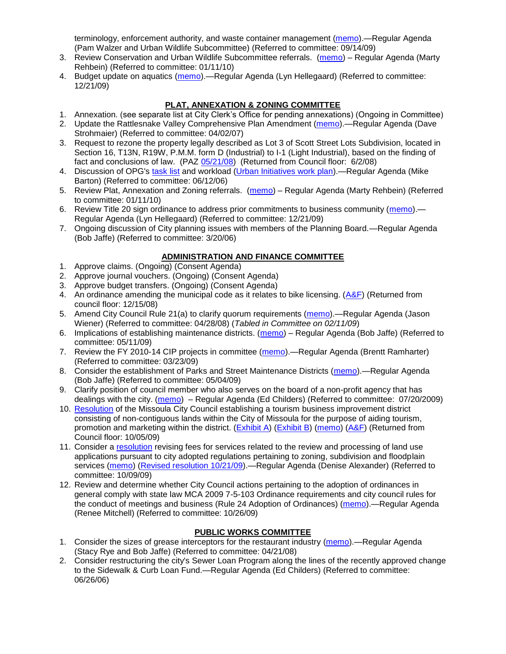terminology, enforcement authority, and waste container management [\(memo\)](http://www.ci.missoula.mt.us/DocumentView.aspx?DID=2228).—Regular Agenda (Pam Walzer and Urban Wildlife Subcommittee) (Referred to committee: 09/14/09)

- 3. Review Conservation and Urban Wildlife Subcommittee referrals. [\(memo\)](http://www.ci.missoula.mt.us/DocumentView.aspx?DID=2933) Regular Agenda (Marty Rehbein) (Referred to committee: 01/11/10)
- 4. Budget update on aquatics [\(memo\)](http://www.ci.missoula.mt.us/DocumentView.aspx?DID=2864).—Regular Agenda (Lyn Hellegaard) (Referred to committee: 12/21/09)

# **PLAT, ANNEXATION & ZONING COMMITTEE**

- 1. Annexation. (see separate list at City Clerk's Office for pending annexations) (Ongoing in Committee)
- 2. Update the Rattlesnake Valley Comprehensive Plan Amendment [\(memo\)](ftp://ftp.ci.missoula.mt.us/Packets/Council/2007/2007-04-02/Referrals/Rattlesnake_Plan_Update_referral.pdf).—Regular Agenda (Dave Strohmaier) (Referred to committee: 04/02/07)
- 3. Request to rezone the property legally described as Lot 3 of Scott Street Lots Subdivision, located in Section 16, T13N, R19W, P.M.M. form D (Industrial) to I-1 (Light Industrial), based on the finding of fact and conclusions of law. (PAZ [05/21/08\)](ftp://ftp.ci.missoula.mt.us/Packets/Council/2008/2008-06-02/080521paz.pdf) (Returned from Council floor: 6/2/08)
- 4. Discussion of OPG's [task list](ftp://ftp.ci.missoula.mt.us/Packets/Council/2008/2008-07-07/UITaskList.pdf) and workload [\(Urban Initiatives work plan\)](ftp://ftp.ci.missoula.mt.us/Packets/Council/2006/2006-06-12/Referrals/Urban_Init.htm).—Regular Agenda (Mike Barton) (Referred to committee: 06/12/06)
- 5. Review Plat, Annexation and Zoning referrals. [\(memo\)](http://www.ci.missoula.mt.us/DocumentView.aspx?DID=2933) Regular Agenda (Marty Rehbein) (Referred to committee: 01/11/10)
- 6. Review Title 20 sign ordinance to address prior commitments to business community [\(memo\)](http://www.ci.missoula.mt.us/DocumentView.aspx?DID=2870). Regular Agenda (Lyn Hellegaard) (Referred to committee: 12/21/09)
- 7. Ongoing discussion of City planning issues with members of the Planning Board.—Regular Agenda (Bob Jaffe) (Referred to committee: 3/20/06)

## **ADMINISTRATION AND FINANCE COMMITTEE**

- 1. Approve claims. (Ongoing) (Consent Agenda)
- 2. Approve journal vouchers. (Ongoing) (Consent Agenda)
- 3. Approve budget transfers. (Ongoing) (Consent Agenda)
- 4. An ordinance amending the municipal code as it relates to bike licensing. [\(A&F\)](ftp://ftp.ci.missoula.mt.us/Packets/Council/2008/2008-12-15/081210af.pdf) (Returned from council floor: 12/15/08)
- 5. Amend City Council Rule 21(a) to clarify quorum requirements [\(memo\)](ftp://ftp.ci.missoula.mt.us/Packets/Council/2008/2008-04-28/Referrals/CouncilRule21aReferral.pdf).—Regular Agenda (Jason Wiener) (Referred to committee: 04/28/08) (*Tabled in Committee on 02/11/09*)
- 6. Implications of establishing maintenance districts. [\(memo\)](ftp://ftp.ci.missoula.mt.us/Packets/Council/2009/2009-05-11/Referrals/MaintenanceDistricts.pdf) Regular Agenda (Bob Jaffe) (Referred to committee: 05/11/09)
- 7. Review the FY 2010-14 CIP projects in committee [\(memo\)](ftp://ftp.ci.missoula.mt.us/Packets/Council/2009/2009-03-23/Referrals/RefAFCIPBudgetReviewFY2010-2014CIP.pdf).—Regular Agenda (Brentt Ramharter) (Referred to committee: 03/23/09)
- 8. Consider the establishment of Parks and Street Maintenance Districts [\(memo\)](ftp://ftp.ci.missoula.mt.us/Packets/Council/2009/2009-05-04/Referrals/MaintenanceDistricts.pdf).—Regular Agenda (Bob Jaffe) (Referred to committee: 05/04/09)
- 9. Clarify position of council member who also serves on the board of a non-profit agency that has dealings with the city. [\(memo\)](http://www.ci.missoula.mt.us/DocumentView.aspx?DID=1840) – Regular Agenda (Ed Childers) (Referred to committee: 07/20/2009)
- 10. [Resolution](http://www.ci.missoula.mt.us/DocumentView.aspx?DID=2373) of the Missoula City Council establishing a tourism business improvement district consisting of non-contiguous lands within the City of Missoula for the purpose of aiding tourism, promotion and marketing within the district. [\(Exhibit A\)](http://www.ci.missoula.mt.us/DocumentView.aspx?DID=2090) [\(Exhibit B\)](http://www.ci.missoula.mt.us/DocumentView.aspx?DID=2374) [\(memo\)](http://www.ci.missoula.mt.us/DocumentView.aspx?DID=2097) [\(A&F\)](http://www.ci.missoula.mt.us/Archive.aspx?ADID=1172) (Returned from Council floor: 10/05/09)
- 11. Consider a [resolution](http://www.ci.missoula.mt.us/DocumentView.aspx?DID=2444) revising fees for services related to the review and processing of land use applications pursuant to city adopted regulations pertaining to zoning, subdivision and floodplain services [\(memo\)](http://www.ci.missoula.mt.us/DocumentView.aspx?DID=2387) [\(Revised resolution 10/21/09\)](http://www.ci.missoula.mt.us/DocumentView.aspx?DID=2399).—Regular Agenda (Denise Alexander) (Referred to committee: 10/09/09)
- 12. Review and determine whether City Council actions pertaining to the adoption of ordinances in general comply with state law MCA 2009 7-5-103 Ordinance requirements and city council rules for the conduct of meetings and business (Rule 24 Adoption of Ordinances) [\(memo\)](http://www.ci.missoula.mt.us/DocumentView.aspx?DID=2468).—Regular Agenda (Renee Mitchell) (Referred to committee: 10/26/09)

## **PUBLIC WORKS COMMITTEE**

- 1. Consider the sizes of grease interceptors for the restaurant industry [\(memo\)](ftp://ftp.ci.missoula.mt.us/Packets/Council/2008/2008-04-21/Referrals/Industrial_waste_restaurants.pdf).—Regular Agenda (Stacy Rye and Bob Jaffe) (Referred to committee: 04/21/08)
- 2. Consider restructuring the city's Sewer Loan Program along the lines of the recently approved change to the Sidewalk & Curb Loan Fund.—Regular Agenda (Ed Childers) (Referred to committee: 06/26/06)